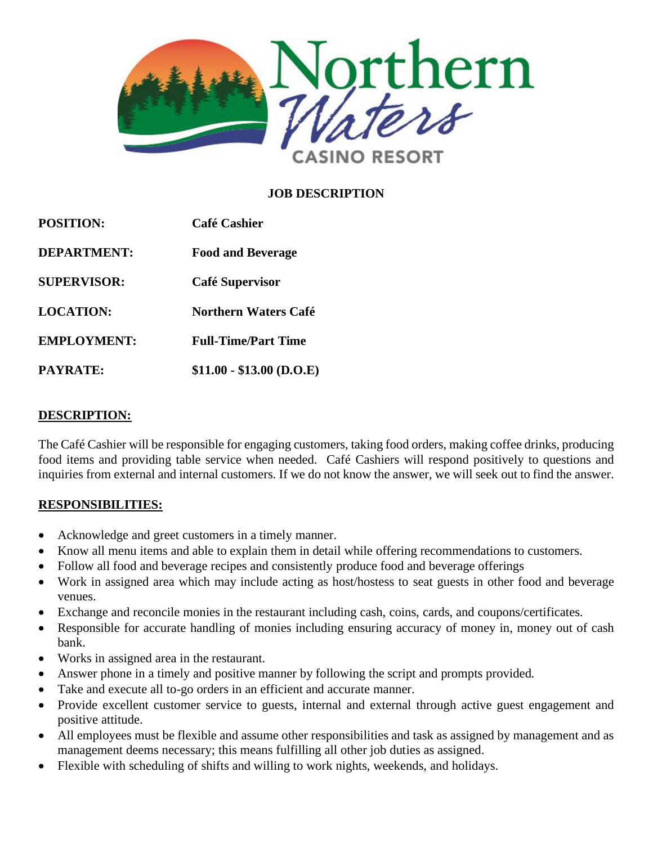

## **JOB DESCRIPTION**

| <b>POSITION:</b><br><b>DEPARTMENT:</b><br><b>SUPERVISOR:</b><br><b>LOCATION:</b><br><b>EMPLOYMENT:</b> | <b>Café Cashier</b><br><b>Food and Beverage</b><br>Café Supervisor<br>Northern Waters Café<br><b>Full-Time/Part Time</b> |                 |                           |
|--------------------------------------------------------------------------------------------------------|--------------------------------------------------------------------------------------------------------------------------|-----------------|---------------------------|
|                                                                                                        |                                                                                                                          | <b>PAYRATE:</b> | $$11.00 - $13.00$ (D.O.E) |

#### **DESCRIPTION:**

The Café Cashier will be responsible for engaging customers, taking food orders, making coffee drinks, producing food items and providing table service when needed. Café Cashiers will respond positively to questions and inquiries from external and internal customers. If we do not know the answer, we will seek out to find the answer.

### **RESPONSIBILITIES:**

- Acknowledge and greet customers in a timely manner.
- Know all menu items and able to explain them in detail while offering recommendations to customers.
- Follow all food and beverage recipes and consistently produce food and beverage offerings
- Work in assigned area which may include acting as host/hostess to seat guests in other food and beverage venues.
- Exchange and reconcile monies in the restaurant including cash, coins, cards, and coupons/certificates.
- Responsible for accurate handling of monies including ensuring accuracy of money in, money out of cash bank.
- Works in assigned area in the restaurant.
- Answer phone in a timely and positive manner by following the script and prompts provided.
- Take and execute all to-go orders in an efficient and accurate manner.
- Provide excellent customer service to guests, internal and external through active guest engagement and positive attitude.
- All employees must be flexible and assume other responsibilities and task as assigned by management and as management deems necessary; this means fulfilling all other job duties as assigned.
- Flexible with scheduling of shifts and willing to work nights, weekends, and holidays.